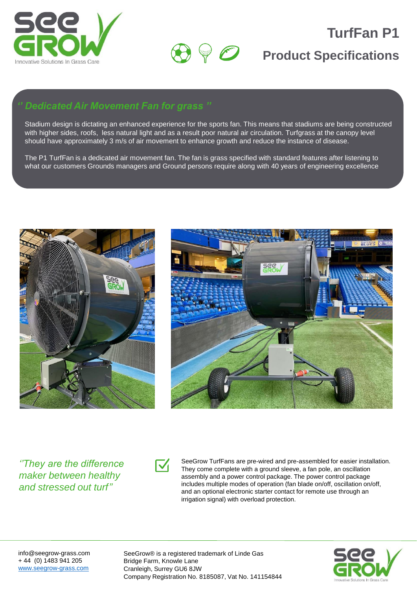



# **TurfFan P1**

### **Product Specifications**

### *'' Dedicated Air Movement Fan for grass ''*

Stadium design is dictating an enhanced experience for the sports fan. This means that stadiums are being constructed with higher sides, roofs, less natural light and as a result poor natural air circulation. Turfgrass at the canopy level should have approximately 3 m/s of air movement to enhance growth and reduce the instance of disease.

The P1 TurfFan is a dedicated air movement fan. The fan is grass specified with standard features after listening to what our customers Grounds managers and Ground persons require along with 40 years of engineering excellence





*''They are the difference maker between healthy and stressed out turf''*



SeeGrow TurfFans are pre-wired and pre-assembled for easier installation. They come complete with a ground sleeve, a fan pole, an oscillation assembly and a power control package. The power control package includes multiple modes of operation (fan blade on/off, oscillation on/off, and an optional electronic starter contact for remote use through an irrigation signal) with overload protection.

info@seegrow-grass.com + 44 (0) 1483 941 205 [www.seegrow-grass.com](http://www.seegrow-grass.com/)

SeeGrow® is a registered trademark of Linde Gas Bridge Farm, Knowle Lane Cranleigh, Surrey GU6 8JW Company Registration No. 8185087, Vat No. 141154844